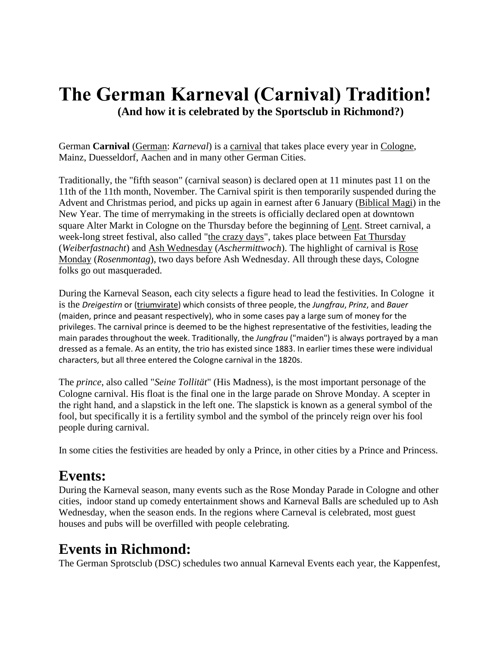## **The German Karneval (Carnival) Tradition! (And how it is celebrated by the Sportsclub in Richmond?)**

German **Carnival** [\(German:](https://en.wikipedia.org/wiki/German_language) *Karneval*) is a [carnival](https://en.wikipedia.org/wiki/Carnival) that takes place every year in [Cologne,](https://en.wikipedia.org/wiki/Cologne) Mainz, Duesseldorf, Aachen and in many other German Cities.

Traditionally, the "fifth season" (carnival season) is declared open at 11 minutes past 11 on the 11th of the 11th month, November. The Carnival spirit is then temporarily suspended during the Advent and Christmas period, and picks up again in earnest after 6 January [\(Biblical Magi\)](https://en.wikipedia.org/wiki/Biblical_Magi) in the New Year. The time of merrymaking in the streets is officially declared open at downtown square Alter Markt in Cologne on the Thursday before the beginning of [Lent.](https://en.wikipedia.org/wiki/Lent) Street carnival, a week-long street festival, also called ["the crazy days"](https://en.wikipedia.org/wiki/Mardi_Gras), takes place between [Fat Thursday](https://en.wikipedia.org/wiki/Fat_Thursday) (*Weiberfastnacht*) and [Ash Wednesday](https://en.wikipedia.org/wiki/Ash_Wednesday) (*Aschermittwoch*). The highlight of carnival is [Rose](https://en.wikipedia.org/wiki/Rose_Monday)  [Monday](https://en.wikipedia.org/wiki/Rose_Monday) (*Rosenmontag*), two days before Ash Wednesday. All through these days, Cologne folks go out masqueraded.

During the Karneval Season, each city selects a figure head to lead the festivities. In Cologne it is the *Dreigestirn* or [\(triumvirate\)](https://en.wikipedia.org/wiki/Triumvirate) which consists of three people, the *Jungfrau*, *Prinz*, and *Bauer* (maiden, prince and peasant respectively), who in some cases pay a large sum of money for the privileges. The carnival prince is deemed to be the highest representative of the festivities, leading the main parades throughout the week. Traditionally, the *Jungfrau* ("maiden") is always portrayed by a man dressed as a female. As an entity, the trio has existed since 1883. In earlier times these were individual characters, but all three entered the Cologne carnival in the 1820s.

The *prince*, also called "*Seine Tollität*" (His Madness), is the most important personage of the Cologne carnival. His float is the final one in the large parade on Shrove Monday. A scepter in the right hand, and a slapstick in the left one. The slapstick is known as a general symbol of the fool, but specifically it is a fertility symbol and the symbol of the princely reign over his fool people during carnival.

In some cities the festivities are headed by only a Prince, in other cities by a Prince and Princess.

## **Events:**

During the Karneval season, many events such as the Rose Monday Parade in Cologne and other cities, indoor stand up comedy entertainment shows and Karneval Balls are scheduled up to Ash Wednesday, when the season ends. In the regions where Carneval is celebrated, most guest houses and pubs will be overfilled with people celebrating.

## **Events in Richmond:**

The German Sprotsclub (DSC) schedules two annual Karneval Events each year, the Kappenfest,